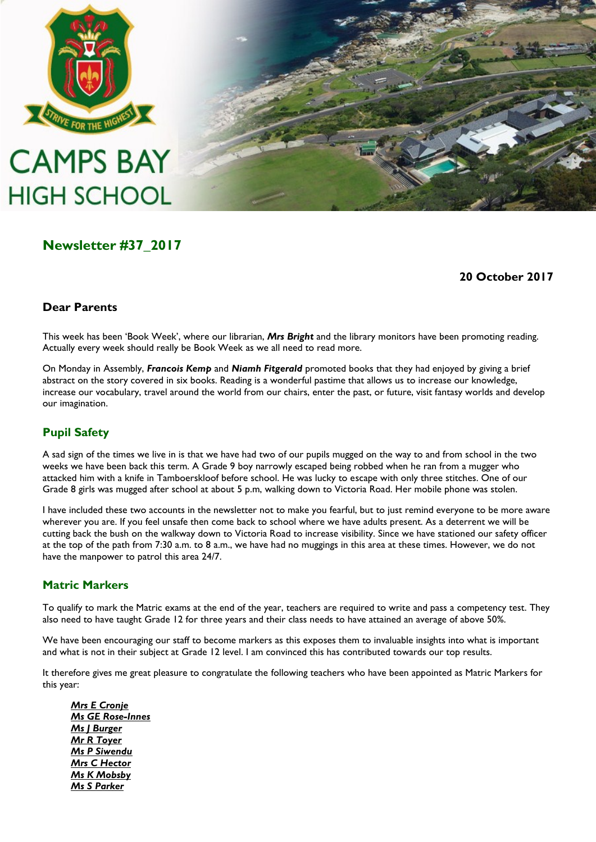

# **CAMPS BAY HIGH SCHOOL**



# **Newsletter #37\_2017**

#### **20 October 2017**

## **Dear Parents**

This week has been "Book Week", where our librarian, *Mrs Bright* and the library monitors have been promoting reading. Actually every week should really be Book Week as we all need to read more.

On Monday in Assembly, *Francois Kemp* and *Niamh Fitgerald* promoted books that they had enjoyed by giving a brief abstract on the story covered in six books. Reading is a wonderful pastime that allows us to increase our knowledge, increase our vocabulary, travel around the world from our chairs, enter the past, or future, visit fantasy worlds and develop our imagination.

## **Pupil Safety**

A sad sign of the times we live in is that we have had two of our pupils mugged on the way to and from school in the two weeks we have been back this term. A Grade 9 boy narrowly escaped being robbed when he ran from a mugger who attacked him with a knife in Tamboerskloof before school. He was lucky to escape with only three stitches. One of our Grade 8 girls was mugged after school at about 5 p.m, walking down to Victoria Road. Her mobile phone was stolen.

I have included these two accounts in the newsletter not to make you fearful, but to just remind everyone to be more aware wherever you are. If you feel unsafe then come back to school where we have adults present. As a deterrent we will be cutting back the bush on the walkway down to Victoria Road to increase visibility. Since we have stationed our safety officer at the top of the path from 7:30 a.m. to 8 a.m., we have had no muggings in this area at these times. However, we do not have the manpower to patrol this area 24/7.

## **Matric Markers**

To qualify to mark the Matric exams at the end of the year, teachers are required to write and pass a competency test. They also need to have taught Grade 12 for three years and their class needs to have attained an average of above 50%.

We have been encouraging our staff to become markers as this exposes them to invaluable insights into what is important and what is not in their subject at Grade 12 level. I am convinced this has contributed towards our top results.

It therefore gives me great pleasure to congratulate the following teachers who have been appointed as Matric Markers for this year:

*Mrs E Cronje Ms GE Rose-Innes Ms J Burger Mr R Toyer Ms P Siwendu Mrs C Hector Ms K Mobsby Ms S Parker*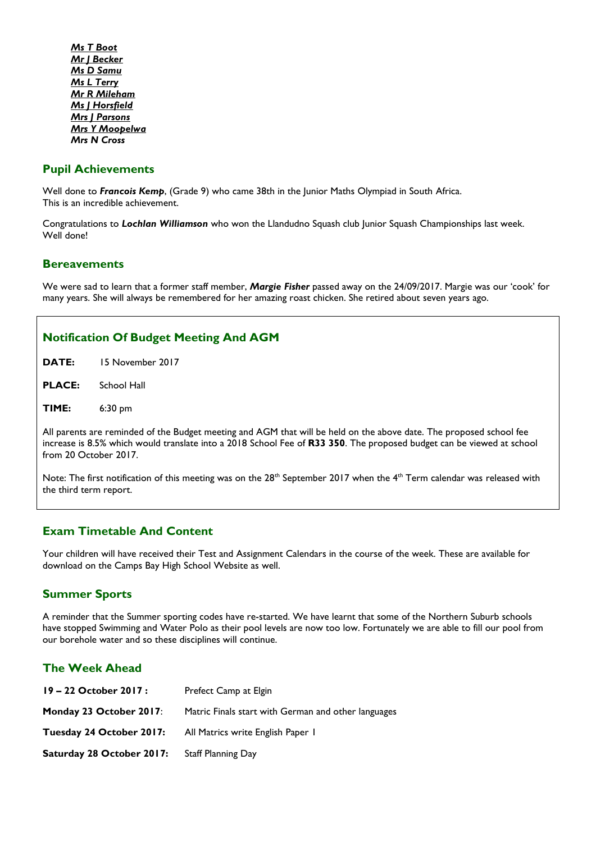*Ms T Boot Mr J Becker Ms D Samu Ms L Terry Mr R Mileham Ms J Horsfield Mrs J Parsons Mrs Y Moopelwa Mrs N Cross*

### **Pupil Achievements**

Well done to *Francois Kemp*, (Grade 9) who came 38th in the Junior Maths Olympiad in South Africa. This is an incredible achievement.

Congratulations to *Lochlan Williamson* who won the Llandudno Squash club Junior Squash Championships last week. Well done!

#### **Bereavements**

We were sad to learn that a former staff member, *Margie Fisher* passed away on the 24/09/2017. Margie was our "cook" for many years. She will always be remembered for her amazing roast chicken. She retired about seven years ago.

#### **Notification Of Budget Meeting And AGM**

**DATE:** 15 November 2017

**PLACE:** School Hall

**TIME:** 6:30 pm

All parents are reminded of the Budget meeting and AGM that will be held on the above date. The proposed school fee increase is 8.5% which would translate into a 2018 School Fee of **R33 350**. The proposed budget can be viewed at school from 20 October 2017.

Note: The first notification of this meeting was on the 28<sup>th</sup> September 2017 when the 4<sup>th</sup> Term calendar was released with the third term report.

#### **Exam Timetable And Content**

Your children will have received their Test and Assignment Calendars in the course of the week. These are available for download on the Camps Bay High School Website as well.

#### **Summer Sports**

A reminder that the Summer sporting codes have re-started. We have learnt that some of the Northern Suburb schools have stopped Swimming and Water Polo as their pool levels are now too low. Fortunately we are able to fill our pool from our borehole water and so these disciplines will continue.

#### **The Week Ahead**

| $19 - 22$ October 2017 :  | Prefect Camp at Elgin                               |
|---------------------------|-----------------------------------------------------|
| Monday 23 October 2017:   | Matric Finals start with German and other languages |
| Tuesday 24 October 2017:  | All Matrics write English Paper I                   |
| Saturday 28 October 2017: | Staff Planning Day                                  |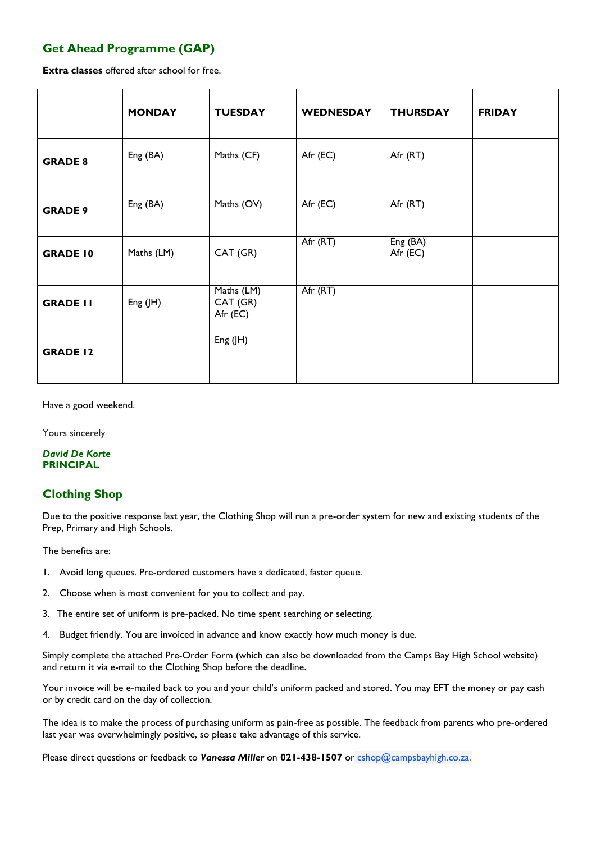# **Get Ahead Programme (GAP)**

**Extra classes** offered after school for free.

|                 | <b>MONDAY</b> | <b>TUESDAY</b>                     | <b>WEDNESDAY</b> | <b>THURSDAY</b>      | <b>FRIDAY</b> |
|-----------------|---------------|------------------------------------|------------------|----------------------|---------------|
| <b>GRADE 8</b>  | Eng (BA)      | Maths (CF)                         | Afr (EC)         | Afr (RT)             |               |
| <b>GRADE 9</b>  | Eng (BA)      | Maths (OV)                         | Afr (EC)         | Afr (RT)             |               |
| <b>GRADE 10</b> | Maths (LM)    | CAT (GR)                           | Afr (RT)         | Eng (BA)<br>Afr (EC) |               |
| <b>GRADE II</b> | Eng $($ H $)$ | Maths (LM)<br>CAT (GR)<br>Afr (EC) | Afr (RT)         |                      |               |
| <b>GRADE 12</b> |               | Eng $($ H $)$                      |                  |                      |               |

Have a good weekend.

Yours sincerely

#### *David De Korte* **PRINCIPAL**

## **Clothing Shop**

Due to the positive response last year, the Clothing Shop will run a pre-order system for new and existing students of the Prep, Primary and High Schools.

The benefits are:

- 1. Avoid long queues. Pre-ordered customers have a dedicated, faster queue.
- 2. Choose when is most convenient for you to collect and pay.
- 3. The entire set of uniform is pre-packed. No time spent searching or selecting.
- 4. Budget friendly. You are invoiced in advance and know exactly how much money is due.

Simply complete the attached Pre-Order Form (which can also be downloaded from the Camps Bay High School website) and return it via e-mail to the Clothing Shop before the deadline.

Your invoice will be e-mailed back to you and your child"s uniform packed and stored. You may EFT the money or pay cash or by credit card on the day of collection.

The idea is to make the process of purchasing uniform as pain-free as possible. The feedback from parents who pre-ordered last year was overwhelmingly positive, so please take advantage of this service.

Please direct questions or feedback to *Vanessa Miller* on **021-438-1507** or [cshop@campsbayhigh.co.za.](mailto:cshop@campsbayhigh.co.za)